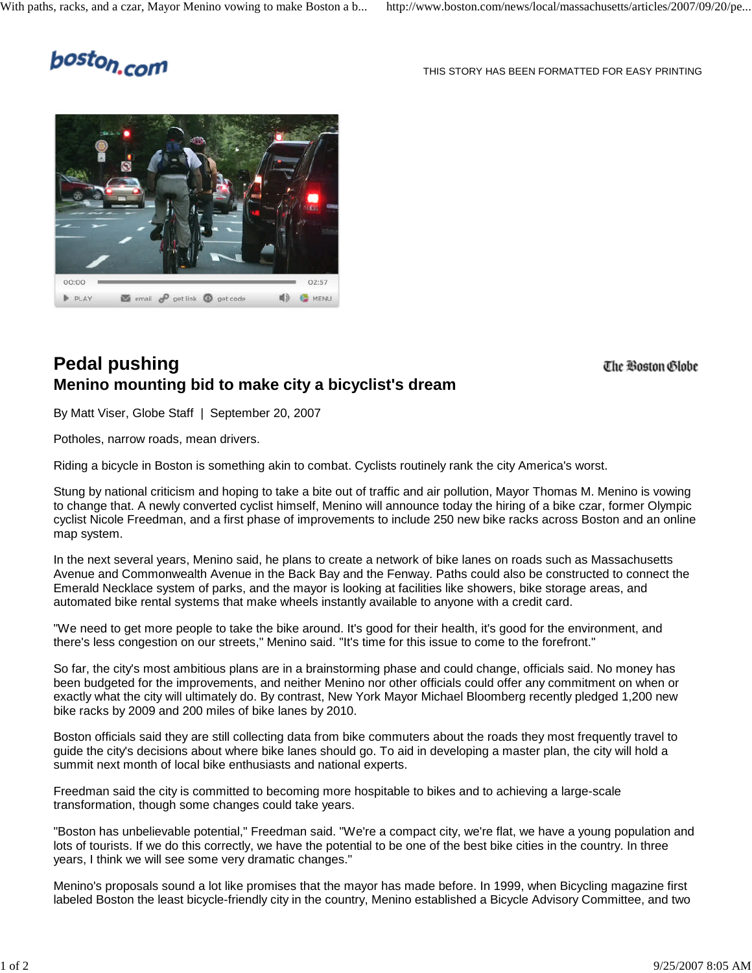## boston.com

THIS STORY HAS BEEN FORMATTED FOR EASY PRINTING



## **Pedal pushing Menino mounting bid to make city a bicyclist's dream**

The Boston Globe

By Matt Viser, Globe Staff | September 20, 2007

Potholes, narrow roads, mean drivers.

Riding a bicycle in Boston is something akin to combat. Cyclists routinely rank the city America's worst.

Stung by national criticism and hoping to take a bite out of traffic and air pollution, Mayor Thomas M. Menino is vowing to change that. A newly converted cyclist himself, Menino will announce today the hiring of a bike czar, former Olympic cyclist Nicole Freedman, and a first phase of improvements to include 250 new bike racks across Boston and an online map system.

In the next several years, Menino said, he plans to create a network of bike lanes on roads such as Massachusetts Avenue and Commonwealth Avenue in the Back Bay and the Fenway. Paths could also be constructed to connect the Emerald Necklace system of parks, and the mayor is looking at facilities like showers, bike storage areas, and automated bike rental systems that make wheels instantly available to anyone with a credit card.

"We need to get more people to take the bike around. It's good for their health, it's good for the environment, and there's less congestion on our streets," Menino said. "It's time for this issue to come to the forefront."

So far, the city's most ambitious plans are in a brainstorming phase and could change, officials said. No money has been budgeted for the improvements, and neither Menino nor other officials could offer any commitment on when or exactly what the city will ultimately do. By contrast, New York Mayor Michael Bloomberg recently pledged 1,200 new bike racks by 2009 and 200 miles of bike lanes by 2010.

Boston officials said they are still collecting data from bike commuters about the roads they most frequently travel to guide the city's decisions about where bike lanes should go. To aid in developing a master plan, the city will hold a summit next month of local bike enthusiasts and national experts.

Freedman said the city is committed to becoming more hospitable to bikes and to achieving a large-scale transformation, though some changes could take years.

"Boston has unbelievable potential," Freedman said. "We're a compact city, we're flat, we have a young population and lots of tourists. If we do this correctly, we have the potential to be one of the best bike cities in the country. In three years, I think we will see some very dramatic changes."

Menino's proposals sound a lot like promises that the mayor has made before. In 1999, when Bicycling magazine first labeled Boston the least bicycle-friendly city in the country, Menino established a Bicycle Advisory Committee, and two